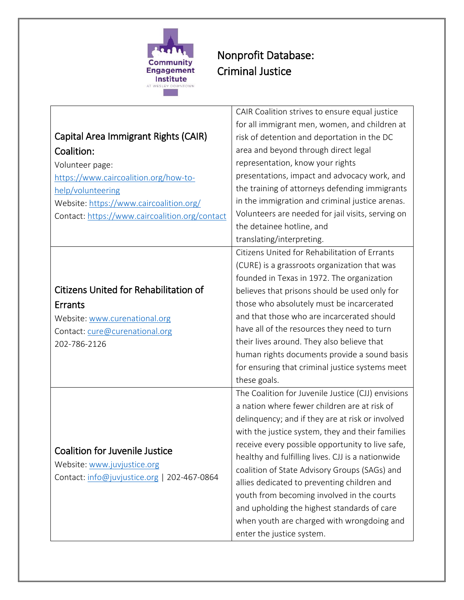

## Nonprofit Database: Criminal Justice

|                                                | CAIR Coalition strives to ensure equal justice     |
|------------------------------------------------|----------------------------------------------------|
|                                                | for all immigrant men, women, and children at      |
| Capital Area Immigrant Rights (CAIR)           | risk of detention and deportation in the DC        |
| Coalition:                                     | area and beyond through direct legal               |
| Volunteer page:                                | representation, know your rights                   |
| https://www.caircoalition.org/how-to-          | presentations, impact and advocacy work, and       |
| help/volunteering                              | the training of attorneys defending immigrants     |
| Website: https://www.caircoalition.org/        | in the immigration and criminal justice arenas.    |
| Contact: https://www.caircoalition.org/contact | Volunteers are needed for jail visits, serving on  |
|                                                | the detainee hotline, and                          |
|                                                | translating/interpreting.                          |
|                                                | Citizens United for Rehabilitation of Errants      |
|                                                | (CURE) is a grassroots organization that was       |
|                                                | founded in Texas in 1972. The organization         |
| <b>Citizens United for Rehabilitation of</b>   | believes that prisons should be used only for      |
| <b>Errants</b>                                 | those who absolutely must be incarcerated          |
| Website: www.curenational.org                  | and that those who are incarcerated should         |
| Contact: cure@curenational.org                 | have all of the resources they need to turn        |
| 202-786-2126                                   | their lives around. They also believe that         |
|                                                | human rights documents provide a sound basis       |
|                                                | for ensuring that criminal justice systems meet    |
|                                                | these goals.                                       |
|                                                | The Coalition for Juvenile Justice (CJJ) envisions |
|                                                | a nation where fewer children are at risk of       |
|                                                | delinquency; and if they are at risk or involved   |
|                                                | with the justice system, they and their families   |
| <b>Coalition for Juvenile Justice</b>          | receive every possible opportunity to live safe,   |
| Website: www.juvjustice.org                    | healthy and fulfilling lives. CJJ is a nationwide  |
| Contact: info@juvjustice.org   202-467-0864    | coalition of State Advisory Groups (SAGs) and      |
|                                                | allies dedicated to preventing children and        |
|                                                | youth from becoming involved in the courts         |
|                                                | and upholding the highest standards of care        |
|                                                | when youth are charged with wrongdoing and         |
|                                                | enter the justice system.                          |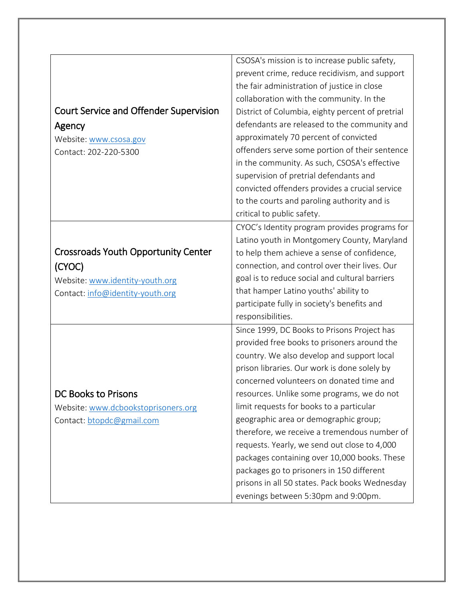|                                               | CSOSA's mission is to increase public safety,    |
|-----------------------------------------------|--------------------------------------------------|
|                                               | prevent crime, reduce recidivism, and support    |
|                                               | the fair administration of justice in close      |
|                                               | collaboration with the community. In the         |
| <b>Court Service and Offender Supervision</b> | District of Columbia, eighty percent of pretrial |
| Agency                                        | defendants are released to the community and     |
| Website: www.csosa.gov                        | approximately 70 percent of convicted            |
| Contact: 202-220-5300                         | offenders serve some portion of their sentence   |
|                                               | in the community. As such, CSOSA's effective     |
|                                               | supervision of pretrial defendants and           |
|                                               | convicted offenders provides a crucial service   |
|                                               | to the courts and paroling authority and is      |
|                                               | critical to public safety.                       |
|                                               | CYOC's Identity program provides programs for    |
|                                               | Latino youth in Montgomery County, Maryland      |
| <b>Crossroads Youth Opportunity Center</b>    | to help them achieve a sense of confidence,      |
| (CYOC)                                        | connection, and control over their lives. Our    |
| Website: www.identity-youth.org               | goal is to reduce social and cultural barriers   |
| Contact: info@identity-youth.org              | that hamper Latino youths' ability to            |
|                                               | participate fully in society's benefits and      |
|                                               | responsibilities.                                |
|                                               | Since 1999, DC Books to Prisons Project has      |
|                                               | provided free books to prisoners around the      |
|                                               | country. We also develop and support local       |
|                                               | prison libraries. Our work is done solely by     |
|                                               | concerned volunteers on donated time and         |
| DC Books to Prisons                           | resources. Unlike some programs, we do not       |
| Website: www.dcbookstoprisoners.org           | limit requests for books to a particular         |
| Contact: btopdc@gmail.com                     | geographic area or demographic group;            |
|                                               | therefore, we receive a tremendous number of     |
|                                               | requests. Yearly, we send out close to 4,000     |
|                                               | packages containing over 10,000 books. These     |
|                                               | packages go to prisoners in 150 different        |
|                                               | prisons in all 50 states. Pack books Wednesday   |
|                                               | evenings between 5:30pm and 9:00pm.              |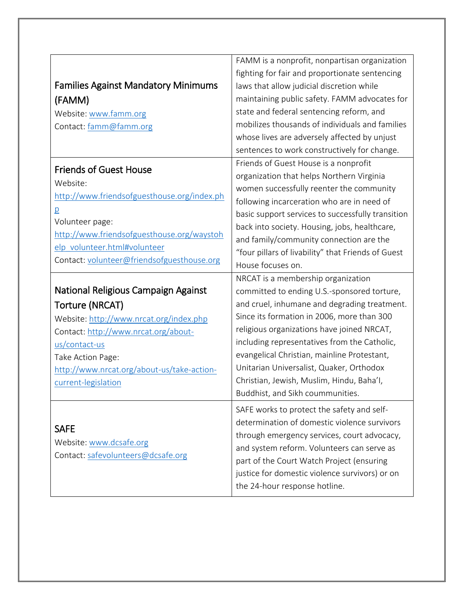|                                                                            | FAMM is a nonprofit, nonpartisan organization      |
|----------------------------------------------------------------------------|----------------------------------------------------|
|                                                                            | fighting for fair and proportionate sentencing     |
| <b>Families Against Mandatory Minimums</b>                                 | laws that allow judicial discretion while          |
| (FAMM)                                                                     | maintaining public safety. FAMM advocates for      |
| Website: www.famm.org                                                      | state and federal sentencing reform, and           |
| Contact: famm@famm.org                                                     | mobilizes thousands of individuals and families    |
|                                                                            | whose lives are adversely affected by unjust       |
|                                                                            | sentences to work constructively for change.       |
| <b>Friends of Guest House</b>                                              | Friends of Guest House is a nonprofit              |
| Website:                                                                   | organization that helps Northern Virginia          |
|                                                                            | women successfully reenter the community           |
| http://www.friendsofguesthouse.org/index.ph                                | following incarceration who are in need of         |
| $\overline{p}$                                                             | basic support services to successfully transition  |
| Volunteer page:                                                            | back into society. Housing, jobs, healthcare,      |
| http://www.friendsofguesthouse.org/waystoh<br>elp volunteer.html#volunteer | and family/community connection are the            |
|                                                                            | "four pillars of livability" that Friends of Guest |
| Contact: volunteer@friendsofguesthouse.org                                 | House focuses on.                                  |
|                                                                            | NRCAT is a membership organization                 |
| National Religious Campaign Against                                        | committed to ending U.S.-sponsored torture,        |
| Torture (NRCAT)                                                            | and cruel, inhumane and degrading treatment.       |
| Website: http://www.nrcat.org/index.php                                    | Since its formation in 2006, more than 300         |
| Contact: http://www.nrcat.org/about-                                       | religious organizations have joined NRCAT,         |
| us/contact-us                                                              | including representatives from the Catholic,       |
| Take Action Page:                                                          | evangelical Christian, mainline Protestant,        |
| http://www.nrcat.org/about-us/take-action-                                 | Unitarian Universalist, Quaker, Orthodox           |
| current-legislation                                                        | Christian, Jewish, Muslim, Hindu, Baha'l,          |
|                                                                            | Buddhist, and Sikh coummunities.                   |
|                                                                            | SAFE works to protect the safety and self-         |
| <b>SAFE</b>                                                                | determination of domestic violence survivors       |
|                                                                            | through emergency services, court advocacy,        |
| Website: www.dcsafe.org                                                    | and system reform. Volunteers can serve as         |
| Contact: safevolunteers@dcsafe.org                                         | part of the Court Watch Project (ensuring          |
|                                                                            |                                                    |
|                                                                            | justice for domestic violence survivors) or on     |